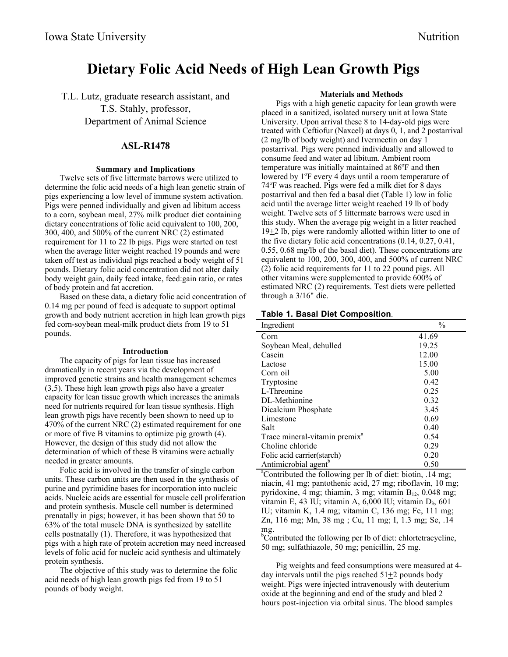# **Dietary Folic Acid Needs of High Lean Growth Pigs**

T.L. Lutz, graduate research assistant, and T.S. Stahly, professor, Department of Animal Science

# **ASL-R1478**

# **Summary and Implications**

Twelve sets of five littermate barrows were utilized to determine the folic acid needs of a high lean genetic strain of pigs experiencing a low level of immune system activation. Pigs were penned individually and given ad libitum access to a corn, soybean meal, 27% milk product diet containing dietary concentrations of folic acid equivalent to 100, 200, 300, 400, and 500% of the current NRC (2) estimated requirement for 11 to 22 lb pigs. Pigs were started on test when the average litter weight reached 19 pounds and were taken off test as individual pigs reached a body weight of 51 pounds. Dietary folic acid concentration did not alter daily body weight gain, daily feed intake, feed:gain ratio, or rates of body protein and fat accretion.

Based on these data, a dietary folic acid concentration of 0.14 mg per pound of feed is adequate to support optimal growth and body nutrient accretion in high lean growth pigs fed corn-soybean meal-milk product diets from 19 to 51 pounds.

#### **Introduction**

The capacity of pigs for lean tissue has increased dramatically in recent years via the development of improved genetic strains and health management schemes (3,5). These high lean growth pigs also have a greater capacity for lean tissue growth which increases the animals need for nutrients required for lean tissue synthesis. High lean growth pigs have recently been shown to need up to 470% of the current NRC (2) estimated requirement for one or more of five B vitamins to optimize pig growth (4). However, the design of this study did not allow the determination of which of these B vitamins were actually needed in greater amounts.

Folic acid is involved in the transfer of single carbon units. These carbon units are then used in the synthesis of purine and pyrimidine bases for incorporation into nucleic acids. Nucleic acids are essential for muscle cell proliferation and protein synthesis. Muscle cell number is determined prenatally in pigs; however, it has been shown that 50 to 63% of the total muscle DNA is synthesized by satellite cells postnatally (1). Therefore, it was hypothesized that pigs with a high rate of protein accretion may need increased levels of folic acid for nucleic acid synthesis and ultimately protein synthesis.

The objective of this study was to determine the folic acid needs of high lean growth pigs fed from 19 to 51 pounds of body weight.

#### **Materials and Methods**

Pigs with a high genetic capacity for lean growth were placed in a sanitized, isolated nursery unit at Iowa State University. Upon arrival these 8 to 14-day-old pigs were treated with Ceftiofur (Naxcel) at days 0, 1, and 2 postarrival (2 mg/lb of body weight) and Ivermectin on day 1 postarrival. Pigs were penned individually and allowed to consume feed and water ad libitum. Ambient room temperature was initially maintained at 86°F and then lowered by 1°F every 4 days until a room temperature of 74<sup>o</sup> F was reached. Pigs were fed a milk diet for 8 days postarrival and then fed a basal diet (Table 1) low in folic acid until the average litter weight reached 19 lb of body weight. Twelve sets of 5 littermate barrows were used in this study. When the average pig weight in a litter reached  $19\pm2$  lb, pigs were randomly allotted within litter to one of the five dietary folic acid concentrations (0.14, 0.27, 0.41, 0.55, 0.68 mg/lb of the basal diet). These concentrations are equivalent to 100, 200, 300, 400, and 500% of current NRC (2) folic acid requirements for 11 to 22 pound pigs. All other vitamins were supplemented to provide 600% of estimated NRC (2) requirements. Test diets were pelletted through a 3/16" die.

## **Table 1. Basal Diet Composition**.

| Ingredient                                | $\frac{0}{0}$ |  |
|-------------------------------------------|---------------|--|
| Corn                                      | 41.69         |  |
| Soybean Meal, dehulled                    | 19.25         |  |
| Casein                                    | 12.00         |  |
| Lactose                                   | 15.00         |  |
| Corn oil                                  | 5.00          |  |
| Tryptosine                                | 0.42          |  |
| L-Threonine                               | 0.25          |  |
| DL-Methionine                             | 0.32          |  |
| Dicalcium Phosphate                       | 3.45          |  |
| Limestone                                 | 0.69          |  |
| Salt                                      | 0.40          |  |
| Trace mineral-vitamin premix <sup>a</sup> | 0.54          |  |
| Choline chloride                          | 0.29          |  |
| Folic acid carrier (starch)               | 0.20          |  |
| Antimicrobial agent <sup>b</sup>          | 0.50          |  |

Antimicrobial agent<sup>b</sup> 0.50<br>
<sup>a</sup>Contributed the following per lb of diet: biotin, .14 mg; niacin, 41 mg; pantothenic acid, 27 mg; riboflavin, 10 mg; pyridoxine, 4 mg; thiamin, 3 mg; vitamin  $B_{12}$ , 0.048 mg; vitamin E, 43 IU; vitamin A,  $6,000$  IU; vitamin D<sub>3</sub>,  $601$ IU; vitamin K, 1.4 mg; vitamin C, 136 mg; Fe, 111 mg; Zn, 116 mg; Mn, 38 mg ; Cu, 11 mg; I, 1.3 mg; Se, .14 mg.

<sup>b</sup>Contributed the following per lb of diet: chlortetracycline, 50 mg; sulfathiazole, 50 mg; penicillin, 25 mg.

Pig weights and feed consumptions were measured at 4 day intervals until the pigs reached  $51\pm2$  pounds body weight. Pigs were injected intravenously with deuterium oxide at the beginning and end of the study and bled 2 hours post-injection via orbital sinus. The blood samples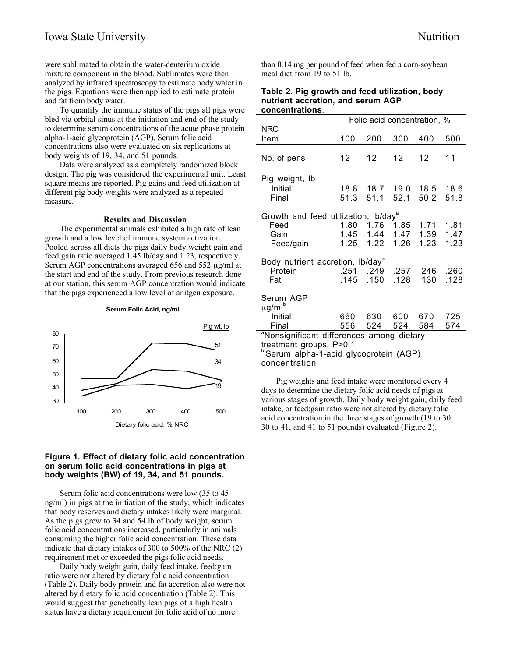were sublimated to obtain the water-deuterium oxide mixture component in the blood. Sublimates were then analyzed by infrared spectroscopy to estimate body water in the pigs. Equations were then applied to estimate protein and fat from body water.

To quantify the immune status of the pigs all pigs were bled via orbital sinus at the initiation and end of the study to determine serum concentrations of the acute phase protein alpha-1-acid glycoprotein (AGP). Serum folic acid concentrations also were evaluated on six replications at body weights of 19, 34, and 51 pounds.

Data were analyzed as a completely randomized block design. The pig was considered the experimental unit. Least square means are reported. Pig gains and feed utilization at different pig body weights were analyzed as a repeated measure.

## **Results and Discussion**

The experimental animals exhibited a high rate of lean growth and a low level of immune system activation. Pooled across all diets the pigs daily body weight gain and feed:gain ratio averaged 1.45 lb/day and 1.23, respectively. Serum AGP concentrations averaged 656 and 552  $\mu$ g/ml at the start and end of the study. From previous research done at our station, this serum AGP concentration would indicate that the pigs experienced a low level of anitgen exposure.



## **Figure 1. Effect of dietary folic acid concentration on serum folic acid concentrations in pigs at body weights (BW) of 19, 34, and 51 pounds.**

Serum folic acid concentrations were low (35 to 45 ng/ml) in pigs at the initiation of the study, which indicates that body reserves and dietary intakes likely were marginal. As the pigs grew to 34 and 54 lb of body weight, serum folic acid concentrations increased, particularly in animals consuming the higher folic acid concentration. These data indicate that dietary intakes of 300 to 500% of the NRC (2) requirement met or exceeded the pigs folic acid needs.

Daily body weight gain, daily feed intake, feed:gain ratio were not altered by dietary folic acid concentration (Table 2). Daily body protein and fat accretion also were not altered by dietary folic acid concentration (Table 2). This would suggest that genetically lean pigs of a high health status have a dietary requirement for folic acid of no more

than 0.14 mg per pound of feed when fed a corn-soybean meal diet from 19 to 51 lb.

#### **Table 2. Pig growth and feed utilization, body nutrient accretion, and serum AGP concentrations**.

| <b>NRC</b>                                                                      | Folic acid concentration, % |                                     |                   |                        |                      |  |
|---------------------------------------------------------------------------------|-----------------------------|-------------------------------------|-------------------|------------------------|----------------------|--|
| Item                                                                            | 100                         | 200                                 | 300               | 400                    | 500                  |  |
| No. of pens                                                                     | 12                          | 12                                  | $12 \overline{ }$ | 12                     | 11                   |  |
| Pig weight, Ib<br>Initial<br>Final                                              | 51.3                        | 51.1                                | 52.1              | 50.2                   | 51.8                 |  |
| Growth and feed utilization, Ib/day <sup>a</sup><br>Feed<br>Gain<br>Feed/gain   | 1.80                        | 1.76<br>1.45 1.44 1.47<br>1.25 1.22 | 1.85<br>1.26      | 1.71<br>1.39<br>1.23   | 1.81<br>1.47<br>1.23 |  |
| Body nutrient accretion, Ib/day <sup>a</sup><br>Protein<br>Fat                  | .251<br>.145                | .150                                | .128              | .249 .257 .246<br>.130 | .260<br>.128         |  |
| Serum AGP<br>$\mu$ g/ml $^{\circ}$<br>Initial<br>Final                          | 556                         | 660 630 600<br>524                  | 524               | 670<br>584             | 725<br>574           |  |
| <sup>a</sup> Nonsignificant differences among dietary<br>treatment aroune DS0.1 |                             |                                     |                   |                        |                      |  |

treatment groups, P>0.1 <sup>b</sup> Serum alpha-1-acid glycoprotein (AGP) concentration

Pig weights and feed intake were monitored every 4 days to determine the dietary folic acid needs of pigs at various stages of growth. Daily body weight gain, daily feed intake, or feed:gain ratio were not altered by dietary folic acid concentration in the three stages of growth (19 to 30, 30 to 41, and 41 to 51 pounds) evaluated (Figure 2).

**Serum Folic Acid, ng/ml**